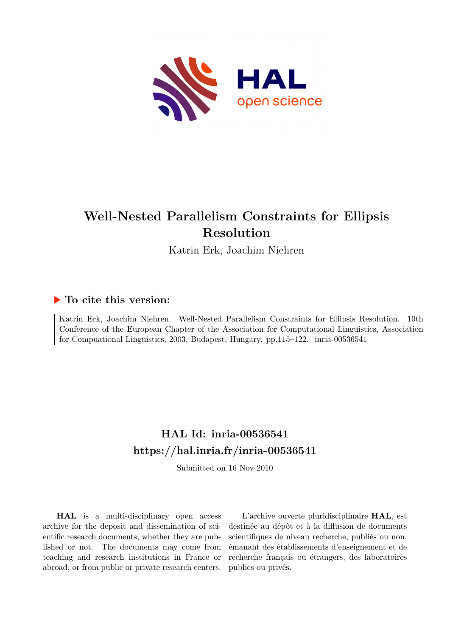

# **Well-Nested Parallelism Constraints for Ellipsis Resolution**

Katrin Erk, Joachim Niehren

# **To cite this version:**

Katrin Erk, Joachim Niehren. Well-Nested Parallelism Constraints for Ellipsis Resolution. 10th Conference of the European Chapter of the Association for Computational Linguistics, Association for Compuational Linguistics, 2003, Budapest, Hungary. pp.115–122.  $i$ nria-00536541

# **HAL Id: inria-00536541 <https://hal.inria.fr/inria-00536541>**

Submitted on 16 Nov 2010

**HAL** is a multi-disciplinary open access archive for the deposit and dissemination of scientific research documents, whether they are published or not. The documents may come from teaching and research institutions in France or abroad, or from public or private research centers.

L'archive ouverte pluridisciplinaire **HAL**, est destinée au dépôt et à la diffusion de documents scientifiques de niveau recherche, publiés ou non, émanant des établissements d'enseignement et de recherche français ou étrangers, des laboratoires publics ou privés.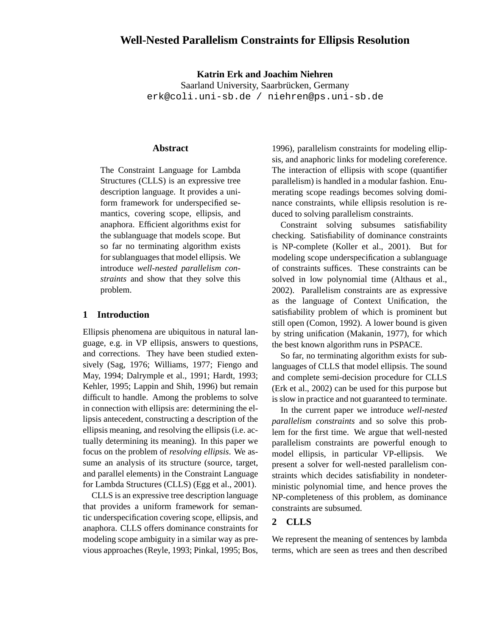# **Well-Nested Parallelism Constraints for Ellipsis Resolution**

**Katrin Erk and Joachim Niehren** Saarland University, Saarbrücken, Germany erk@coli.uni-sb.de / niehren@ps.uni-sb.de

#### **Abstract**

The Constraint Language for Lambda Structures (CLLS) is an expressive tree description language. It provides a uniform framework for underspecified semantics, covering scope, ellipsis, and anaphora. Efficient algorithms exist for the sublanguage that models scope. But so far no terminating algorithm exists for sublanguages that model ellipsis. We introduce *well-nested parallelism constraints* and show that they solve this problem.

### **1 Introduction**

Ellipsis phenomena are ubiquitous in natural language, e.g. in VP ellipsis, answers to questions, and corrections. They have been studied extensively (Sag, 1976; Williams, 1977; Fiengo and May, 1994; Dalrymple et al., 1991; Hardt, 1993; Kehler, 1995; Lappin and Shih, 1996) but remain difficult to handle. Among the problems to solve in connection with ellipsis are: determining the ellipsis antecedent, constructing a description of the ellipsis meaning, and resolving the ellipsis(i.e. actually determining its meaning). In this paper we focus on the problem of *resolving ellipsis*. We assume an analysis of its structure (source, target, and parallel elements) in the Constraint Language for Lambda Structures (CLLS) (Egg et al., 2001).

CLLS is an expressive tree description language that provides a uniform framework for semantic underspecification covering scope, ellipsis, and anaphora. CLLS offers dominance constraints for modeling scope ambiguity in a similar way as previous approaches(Reyle, 1993; Pinkal, 1995; Bos, 1996), parallelism constraints for modeling ellipsis, and anaphoric links for modeling coreference. The interaction of ellipsis with scope (quantifier parallelism) is handled in a modular fashion. Enumerating scope readings becomes solving dominance constraints, while ellipsis resolution is reduced to solving parallelism constraints.

Constraint solving subsumes satisfiability checking. Satisfiability of dominance constraints is NP-complete (Koller et al., 2001). But for modeling scope underspecification a sublanguage of constraints suffices. These constraints can be solved in low polynomial time (Althaus et al., 2002). Parallelism constraints are as expressive as the language of Context Unification, the satisfiability problem of which is prominent but still open (Comon, 1992). A lower bound is given by string unification (Makanin, 1977), for which the best known algorithm runs in PSPACE.

So far, no terminating algorithm exists for sublanguages of CLLS that model ellipsis. The sound and complete semi-decision procedure for CLLS (Erk et al., 2002) can be used for this purpose but is slow in practice and not guaranteed to terminate.

In the current paper we introduce *well-nested parallelism constraints* and so solve this problem for the first time. We argue that well-nested parallelism constraints are powerful enough to model ellipsis, in particular VP-ellipsis. We present a solver for well-nested parallelism constraints which decides satisfiability in nondeterministic polynomial time, and hence proves the NP-completeness of this problem, as dominance constraints are subsumed.

# **2 CLLS**

We represent the meaning of sentences by lambda terms, which are seen as trees and then described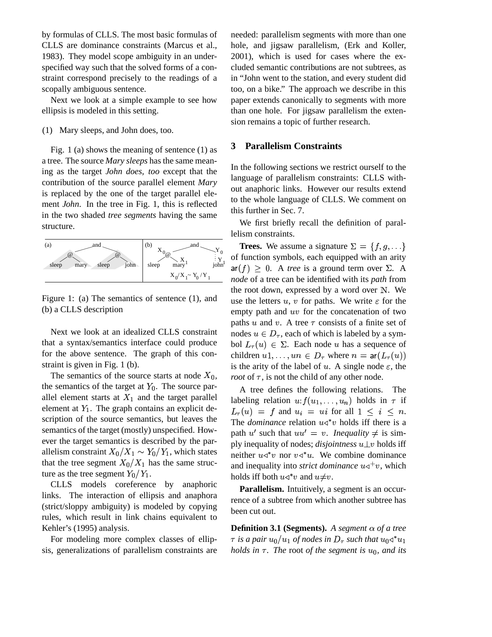by formulas of CLLS. The most basic formulas of CLLS are dominance constraints (Marcus et al., 1983). They model scope ambiguity in an underspecified way such that the solved forms of a constraint correspond precisely to the readings of a scopally ambiguous sentence.

Next we look at a simple example to see how ellipsis is modeled in this setting.

(1) Mary sleeps, and John does, too.

Fig. 1 (a) shows the meaning of sentence (1) as a tree. The source *Mary sleeps* has the same meaning as the target *John does, too* except that the contribution of the source parallel element *Mary* is replaced by the one of the target parallel element *John*. In the tree in Fig. 1, this is reflected in the two shaded *tree segments* having the same structure.



Figure 1: (a) The semantics of sentence (1), and (b) a CLLS description

Next we look at an idealized CLLS constraint that a syntax/semantics interface could produce for the above sentence. The graph of this constraint is given in Fig. 1 (b).

The semantics of the source starts at node  $X_0$ , the semantics of the target at  $Y_0$ . The source parallel element starts at  $X_1$  and the target parallel element at  $Y_1$ . The graph contains an explicit description of the source semantics, but leaves the semantics of the target (mostly) unspecified. However the target semantics is described by the parallelism constraint  $X_0/X_1 \sim Y_0/Y_1$ , which states that the tree segment  $X_0/X_1$  has the same structure as the tree segment  $Y_0/Y_1$ .

CLLS models coreference by anaphoric links. The interaction of ellipsis and anaphora (strict/sloppy ambiguity) is modeled by copying rules, which result in link chains equivalent to Kehler's (1995) analysis.

For modeling more complex classes of ellipsis, generalizations of parallelism constraints are

needed: parallelism segments with more than one hole, and jigsaw parallelism, (Erk and Koller, 2001), which is used for cases where the excluded semantic contributions are not subtrees, as in "John went to the station, and every student did too, on a bike." The approach we describe in this paper extends canonically to segments with more than one hole. For jigsaw parallelism the extension remains a topic of further research.

## **3 Parallelism Constraints**

In the following sections we restrict ourself to the language of parallelism constraints: CLLS without anaphoric links. However our results extend to the whole language of CLLS. We comment on this further in Sec. 7.

We first briefly recall the definition of parallelism constraints.

0, *root* of  $\tau$ , is not the child of any other node. **Trees.** We assume a signature  $\Sigma = \{f, g, ...\}$ of function symbols, each equipped with an arity  $\mathsf{ar}(f) \geq 0$ . A *tree* is a ground term over  $\Sigma$ . A *node* of a tree can be identified with its *path* from the root down, expressed by a word over  $N$ . We use the letters  $u, v$  for paths. We write  $\varepsilon$  for the empty path and  $uv$  for the concatenation of two paths  $u$  and  $v$ . A tree  $\tau$  consists of a finite set of nodes  $u \in D_{\tau}$ , each of which is labeled by a symbol  $L_{\tau}(u) \in \Sigma$ . Each node u has a sequence of children  $u1, \ldots, un \in D_{\tau}$  where  $n = \text{ar}(L_{\tau}(u))$ is the arity of the label of u. A single node  $\varepsilon$ , the

A tree defines the following relations. The labeling relation  $u: f(u_1, \ldots, u_n)$  holds in  $\tau$  if  $L_{\tau}(u) = f$  and  $u_i = ui$  for all  $1 \leq i \leq n$ . The *dominance* relation  $u \triangleleft^* v$  holds iff there is a path  $u'$  such that  $uu' = v$ . *Inequality*  $\neq$  is simply inequality of nodes; *disjointness*  $u \perp v$  holds iff neither  $u \triangleleft^* v$  nor  $v \triangleleft^* u$ . We combine dominance and inequality into *strict dominance*  $u \triangleleft^+ v$ , which holds iff both  $u \triangleleft^* v$  and  $u \neq v$ .

**Parallelism.** Intuitively, a segment is an occurrence of a subtree from which another subtree has been cut out.

**Definition 3.1 (Segments).** A segment  $\alpha$  of a tree  $\tau$  is a pair  $u_0/u_1$  of nodes in  $D_\tau$  such that  $u_0$   $\triangleleft^* u_1$ *holds* in  $\tau$ . The root *of the segment* is  $u_0$ *, and its*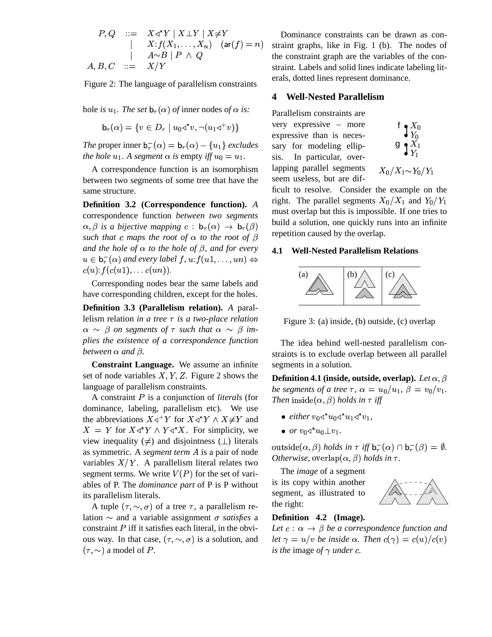$$
P,Q \quad ::= \quad X \triangleleft^* Y \mid X \perp Y \mid X \neq Y \qquad \qquad D
$$
\n
$$
\mid \quad X : f(X_1, \ldots, X_n) \quad (\text{ar}(f) = n) \quad \text{strain}
$$
\n
$$
A, B, C \quad ::= \quad X/Y \qquad \qquad \text{strain}
$$

Figure 2: The language of parallelism constraints

hole *is*  $u_1$ . The set  $\mathbf{b}_{\tau}(\alpha)$  of inner nodes of  $\alpha$  *is:*  $\mathbf{p}_{\text{ar}}$ 

$$
\mathsf{b}_{\tau}(\alpha) = \{ v \in D_{\tau} \mid u_0 \triangleleft^* v, \neg(u_1 \triangleleft^+ v) \}
$$

*The* proper inner  $\mathbf{b}_{\tau}(\alpha) = \mathbf{b}_{\tau}(\alpha) - \{u_1\}$  *excludes the hole*  $u_1$ *. A segment*  $\alpha$  *is* empty *iff*  $u_0 = u_1$ *.* 

A correspondence function is an isomorphism between two segments of some tree that have the same structure.

**Definition 3.2 (Correspondence function).** *A* correspondence function *between two segments*  $\alpha, \beta$  is a bijective mapping  $c : b_{\tau}(\alpha) \rightarrow b_{\tau}(\beta)$  unit a s *such that c maps the root of*  $\alpha$  *to the root of*  $\beta$ *and the hole of*  $\alpha$  *to the hole of*  $\beta$ *, and for every*  $u \in \mathbf{b}^-_{\tau}(\alpha)$  and every label  $f, u$ :  $f(u1, \ldots, un) \Leftrightarrow$  $c(u)$ :  $f(c(u_1), \ldots c(u_n))$ .

Corresponding nodes bear the same labels and have corresponding children, except for the holes.

**Definition 3.3 (Parallelism relation).** *A* parallelism relation *in a tree*  $\tau$  *is a two-place relation*  $\alpha \sim \beta$  *on segments of*  $\tau$  *such that*  $\alpha \sim \beta$  *implies the existence of a correspondence function between*  $\alpha$  *and*  $\beta$ *.* 

**Constraint Language.** We assume an infinite set of node variables  $X, Y, Z$ . Figure 2 shows the language of parallelism constraints.

A constraint P is a conjunction of *literals* (for dominance, labeling, parallelism etc). We use the abbreviations  $X \triangleleft^+ Y$  for  $X \triangleleft^* Y \wedge X \neq Y$  and  $\bullet$  etti  $X = Y$  for  $X \triangleleft^* Y \wedge Y \triangleleft^* X$ . For simplicity, we view inequality ( $\neq$ ) and disjointness ( $\perp$ ) literals as symmetric. A *segment term* A is a pair of node variables  $X/Y$ . A parallelism literal relates two segment terms. We write  $V(P)$  for the set of variables of P. The *dominance part* of P is P without its parallelism literals.

A tuple  $(\tau, \sim, \sigma)$  of a tree  $\tau$ , a parallelism relation  $\sim$  and a variable assignment  $\sigma$  *satisfies* a constraint  $P$  iff it satisfies each literal, in the obvious way. In that case,  $(\tau, \sim, \sigma)$  is a solution, and  $(\tau, \sim)$  a model of P.

 $f$ ) = n) straint graphs, like in Fig. 1 (b). The nodes of Dominance constraints can be drawn as conthe constraint graph are the variables of the constraint. Labels and solid lines indicate labeling literals, dotted lines represent dominance.

#### **4 Well-Nested Parallelism**

Parallelism constraints are very expressive – more expressive than is necessary for modeling ellipsis. In particular, overlapping parallel segments seem useless, but are dif-



$$
X_0/X_1{\sim}Y_0/Y_1
$$

ficult to resolve. Consider the example on the right. The parallel segments  $X_0/X_1$  and  $Y_0/Y_1$ must overlap but this is impossible. If one tries to build a solution, one quickly runs into an infinite repetition caused by the overlap.

#### **4.1 Well-Nested Parallelism Relations**



Figure 3: (a) inside, (b) outside, (c) overlap

The idea behind well-nested parallelism constraints is to exclude overlap between all parallel segments in a solution.

**Definition 4.1** (inside, outside, overlap). Let  $\alpha$ ,  $\beta$ *be* segments of a tree  $\tau$ ,  $\alpha = u_0/u_1$ ,  $\beta = v_0/v_1$ . *Then*  $inside(\alpha, \beta)$  *holds* in  $\tau$  *iff* 

- either  $v_0 \triangleleft^* u_0 \triangleleft^* u_1 \triangleleft^* v_1$ ,
- $\bullet$  or  $v_0 \triangleleft^* u_0 \bot v_1$ .

outside( $\alpha$ , $\beta$ ) holds in  $\tau$  iff  $\mathsf{b}^-_\tau(\alpha) \cap \mathsf{b}^-_\tau(\beta) = \emptyset$ . *Otherwise,* overlap $(\alpha, \beta)$  *holds in*  $\tau$ .

The *image* of a segment is its copy within another segment, as illustrated to the right:



#### **Definition 4.2 (Image).**

*Let*  $c : \alpha \rightarrow \beta$  *be a correspondence function and let*  $\gamma = u/v$  *be inside*  $\alpha$ *. Then*  $c(\gamma) = c(u)/c(v)$ *is the image of*  $\gamma$  *under c.*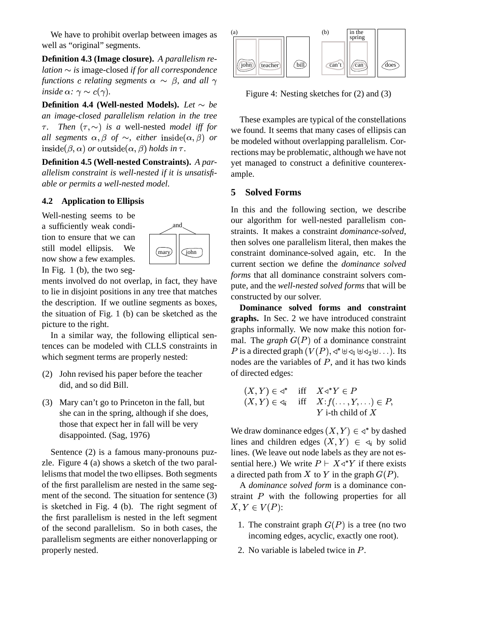We have to prohibit overlap between images as well as "original" segments.

**Definition 4.3 (Image closure).** *A parallelism relation is* image-closed *if for all correspondence functions c* relating segments  $\alpha \sim \beta$ , and all  $\gamma$ *inside*  $\alpha$ :  $\gamma \sim c(\gamma)$ .

**Definition 4.4 (Well-nested Models).** Let  $\sim$  be *an image-closed parallelism relation in the tree*  $\tau$ . *Then*  $(\tau, \sim)$  *is a* well-nested *model iff for all* segments  $\alpha, \beta$  of  $\sim$ , either inside $(\alpha, \beta)$  or  $\rightarrow$  $\text{inside}(\beta, \alpha) \text{ or outside}(\alpha, \beta) \text{ holds in } \tau.$ 

**Definition 4.5 (Well-nested Constraints).** *A parallelism constraint is well-nested if it is unsatisfiable or permits a well-nested model.*

## **4.2 Application to Ellipsis**

Well-nesting seems to be a sufficiently weak condition to ensure that we can still model ellipsis. We now show a few examples. In Fig. 1 (b), the two seg-



ments involved do not overlap, in fact, they have to lie in disjoint positions in any tree that matches the description. If we outline segments as boxes, the situation of Fig. 1 (b) can be sketched as the picture to the right.

In a similar way, the following elliptical sentences can be modeled with CLLS constraints in which segment terms are properly nested:

- (2) John revised his paper before the teacher did, and so did Bill.
- (3) Mary can't go to Princeton in the fall, but she can in the spring, although if she does, those that expect her in fall will be very disappointed. (Sag, 1976)

Sentence (2) is a famous many-pronouns puzzle. Figure 4 (a) shows a sketch of the two parallelisms that model the two ellipses. Both segments of the first parallelism are nested in the same segment of the second. The situation for sentence (3) is sketched in Fig. 4 (b). The right segment of the first parallelism is nested in the left segment of the second parallelism. So in both cases, the parallelism segments are either nonoverlapping or properly nested.



Figure 4: Nesting sketches for (2) and (3)

These examples are typical of the constellations we found. It seems that many cases of ellipsis can be modeled without overlapping parallelism. Corrections may be problematic, although we have not yet managed to construct a definitive counterexample.

### **5 Solved Forms**

In this and the following section, we describe our algorithm for well-nested parallelism constraints. It makes a constraint *dominance-solved*, then solves one parallelism literal, then makes the constraint dominance-solved again, etc. In the current section we define the *dominance solved forms* that all dominance constraint solvers compute, and the *well-nested solved forms* that will be constructed by our solver.

**Dominance solved forms and constraint graphs.** In Sec. 2 we have introduced constraint graphs informally. We now make this notion formal. The *graph*  $G(P)$  of a dominance constraint P is a directed graph  $(V(P), \triangleleft^* \boxplus \triangleleft_1 \boxplus \triangleleft_2 \boxplus \dots)$ . Its nodes are the variables of  $P$ , and it has two kinds of directed edges:

$$
(X, Y) \in \mathcal{A}^* \quad \text{iff} \quad X \mathcal{A}^* Y \in P
$$
\n
$$
(X, Y) \in \mathcal{A}_i \quad \text{iff} \quad X : f(\dots, Y, \dots) \in P,
$$
\n
$$
Y \text{ i-th child of } X
$$

We draw dominance edges  $(X, Y) \in \triangleleft^*$  by dashed lines and children edges  $(X, Y) \in \mathcal{A}_i$  by solid lines. (We leave out node labels as they are not essential here.) We write  $P \vdash X \triangleleft^* Y$  if there exists a directed path from X to Y in the graph  $G(P)$ .

A *dominance solved form* is a dominance constraint  $P$  with the following properties for all  $X, Y \in V(P)$ :

- 1. The constraint graph  $G(P)$  is a tree (no two incoming edges, acyclic, exactly one root).
- 2. No variable is labeled twice in P.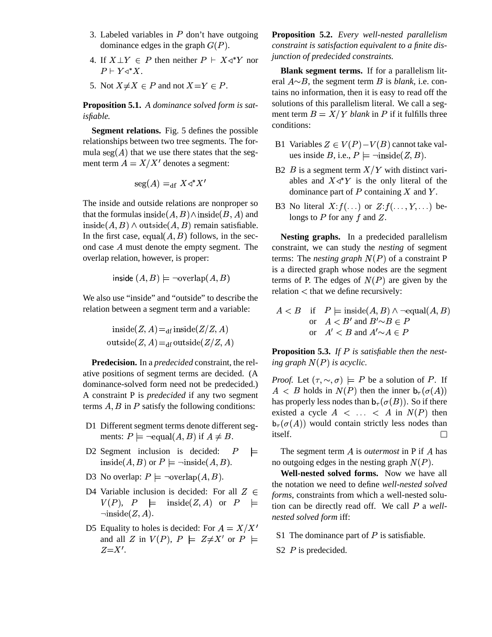- 3. Labeled variables in  $P$  don't have outgoing dominance edges in the graph  $G(P)$ .  $co$
- 4. If  $X \perp Y \in P$  then neither  $P \vdash X \triangleleft^* Y$  nor *function*  $P \vdash Y \triangleleft^* X.$
- 5. Not  $X \neq X \in P$  and not  $X = Y \in P$ .

**Proposition 5.1.** *A dominance solved form is satisfiable.*

**Segment relations.** Fig. 5 defines the possible relationships between two tree segments. The formula  $\text{seg}(A)$  that we use there states that the segment term  $A = X/X'$  denotes a segment:

$$
\text{seg}(A) =_{\text{df}} X \triangleleft^* X'
$$

The inside and outside relations are nonproper so that the formulas inside $(A, B) \wedge \text{inside}(B, A)$  and  $\text{inside}(A, B) \land \text{outside}(A, B) \text{ remain satisfiable.}$ In the first case, equal $(A, B)$  follows, in the second case  $A$  must denote the empty segment. The overlap relation, however, is proper:

inside  $(A, B) \models \neg \text{overlap}(A, B)$ 

We also use "inside" and "outside" to describe the relation between a segment term and a variable:

$$
inside(Z, A) =_{df} inside(Z/Z, A)
$$
  
outside(Z, A) =<sub>df</sub> outside(Z/Z, A)

**Predecision.** In a *predecided* constraint, the relative positions of segment terms are decided. (A dominance-solved form need not be predecided.) A constraint P is *predecided* if any two segment terms  $A, B$  in  $P$  satisfy the following conditions:

- D1 Different segment terms denote different segments:  $P \models \neg \text{equal}(A, B) \text{ if } A \neq B.$  itself
- D2 Segment inclusion is decided:  $P \models$  $\text{inside}(A, B) \text{ or } P \models \neg \text{inside}(A, B).$  no
- D3 No overlap:  $P \models \neg \text{overlap}(A, B)$ .
- D4 Variable inclusion is decided: For all  $Z \in$  $V(P)$ ,  $P = \text{inside}(Z, A)$  or  $P = \text{tion of } Z$  $\neg inside(Z, A).$
- D5 Equality to holes is decided: For  $A = X/X'$ and all Z in  $V(P)$ ,  $P \models Z \neq X'$  or  $P \models$  S<sub>1</sub> ine add  $Z = X'$ .

**Proposition 5.2.** *Every well-nested parallelism constraint is satisfaction equivalent to a finite disjunction of predecided constraints.*

**Blank segment terms.** If for a parallelism literal  $A \sim B$ , the segment term B is *blank*, i.e. contains no information, then it is easy to read off the solutions of this parallelism literal. We call a segment term  $B = X/Y$  blank in P if it fulfills three conditions:

- B1 Variables  $Z \in V(P) V(B)$  cannot take values inside B, i.e.,  $P \models \neg \text{inside}(Z, B)$ .
- B2  $B$  is a segment term  $X/Y$  with distinct variables and  $X \triangleleft^* Y$  is the only literal of the dominance part of  $P$  containing  $X$  and  $Y$ .
- B3 No literal  $X: f(\ldots)$  or  $Z: f(\ldots, Y, \ldots)$  belongs to  $P$  for any  $f$  and  $Z$ .

**Nesting graphs.** In a predecided parallelism constraint, we can study the *nesting* of segment terms: The *nesting graph*  $N(P)$  of a constraint P is a directed graph whose nodes are the segment terms of P. The edges of  $N(P)$  are given by the  $relation <$  that we define recursively:

$$
A < B \quad \text{if} \quad P \models \text{inside}(A, B) \land \neg \text{equal}(A, B)
$$
\n
$$
\text{or} \quad A < B' \text{ and } B' \sim B \in P
$$
\n
$$
\text{or} \quad A' < B \text{ and } A' \sim A \in P
$$

**Proposition 5.3.** If P is satisfiable then the nest*ing graph is acyclic.*

*Proof.* Let  $(\tau, \sim, \sigma) \models P$  be a solution of P. If  $A \leq B$  holds in  $N(P)$  then the inner  $\mathsf{b}_{\tau}(\sigma(A))$ has properly less nodes than  $\mathsf{b}_{\tau}(\sigma(B))$ . So if there existed a cycle  $A \leq \ldots \leq A$  in  $N(P)$  then  $\mathsf{b}_{\tau}(\sigma(A))$  would contain strictly less nodes than itself.  $\Box$ 

 $=$  The segment term A is *outermost* in P if A has no outgoing edges in the nesting graph  $N(P)$ .

 $\equiv$  tion can be directly read off. We call P a well-**Well-nested solved forms.** Now we have all the notation we need to define *well-nested solved forms*, constraints from which a well-nested solu*nested solved form* iff:

- S1 The dominance part of  $P$  is satisfiable.
- S2  $P$  is predecided.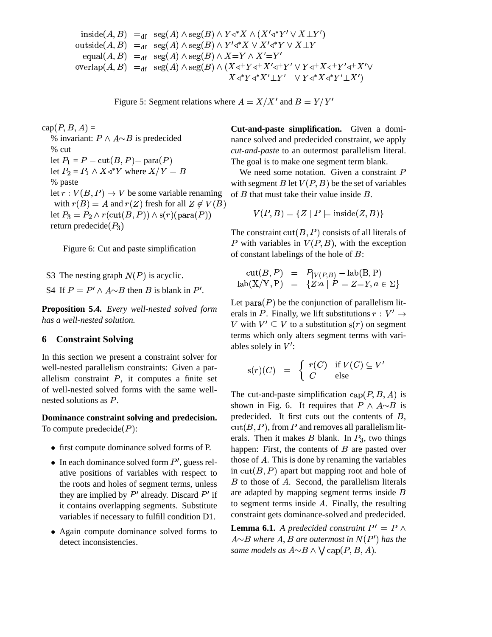\$&%'\$\*),+ - '!+ '+ J L OJL O SO -/.10 '\$\*),+ - '!+ '+ <sup>O</sup> JML +. <?; - '!+ '+ T OO -7 +:9!;=<> - '!+ '+ JVJV O<JVO JV JVOJV O JMLJML OSO JML JMLOS <sup>O</sup>

Figure 5: Segment relations where  $A = X/X'$  and  $B = Y/Y'$ 

 $cap(P, B, A) =$ % invariant:  $P \wedge A \sim B$  is predecided % cut let  $P_1 = P - \text{cut}(B, P) - \text{para}(P)$ let  $P_2 = P_1 \wedge X \triangleleft^* Y$  where  $X/Y = B$ % paste let  $r: V(B, P) \to V$  be some variable renaming with  $r(B) = A$  and  $r(Z)$  fresh for all  $Z \notin V(B)$ let  $P_3 = P_2 \wedge r(\text{cut}(B, P)) \wedge s(r)(\text{para}(P))$   $V$ return predecide $(P_3)$ 

Figure 6: Cut and paste simplification

S3 The nesting graph  $N(P)$  is acyclic. S4 If  $P = P' \wedge A \sim B$  then B is blank in P'.

**Proposition 5.4.** *Every well-nested solved form has a well-nested solution.*

#### **6 Constraint Solving**

In this section we present a constraint solver for well-nested parallelism constraints: Given a parallelism constraint  $P$ , it computes a finite set of well-nested solved forms with the same wellnested solutions as  $P$ .

**Dominance constraint solving and predecision.** To compute  $\text{predecide}(P)$ :

- first compute dominance solved forms of P.
- In each dominance solved form  $P'$ , guess relative positions of variables with respect to the roots and holes of segment terms, unless they are implied by  $P'$  already. Discard  $P'$  if are adapt it contains overlapping segments. Substitute variables if necessary to fulfill condition D1.
- Again compute dominance solved forms to detect inconsistencies.

**Cut-and-paste simplification.** Given a dominance solved and predecided constraint, we apply *cut-and-paste* to an outermost parallelism literal. The goal is to make one segment term blank.

We need some notation. Given a constraint  $P$ with segment B let  $V(P, B)$  be the set of variables of  $B$  that must take their value inside  $B$ .

$$
V(P, B) = \{ Z \mid P \models \text{inside}(Z, B) \}
$$

The constraint  $cut(B, P)$  consists of all literals of P with variables in  $V(P, B)$ , with the exception of constant labelings of the hole of  $B$ :

$$
cut(B, P) = P_{|V(P,B)} - lab(B, P)
$$
  

$$
lab(X/Y, P) = {Z:a | P \models Z=Y, a \in \Sigma}
$$

Let  $para(P)$  be the conjunction of parallelism literals in P. Finally, we lift substitutions  $r:V'\to$ V with  $V' \subseteq V$  to a substitution  $s(r)$  on segment terms which only alters segment terms with variables solely in  $V'$ :

$$
s(r)(C) = \begin{cases} r(C) & \text{if } V(C) \subseteq V' \\ C & \text{else} \end{cases}
$$

The cut-and-paste simplification  $cap(P, B, A)$  is shown in Fig. 6. It requires that  $P \wedge A \sim B$  is predecided. It first cuts out the contents of  $B$ ,  $cut(B, P)$ , from P and removes all parallelism literals. Then it makes  $B$  blank. In  $P_3$ , two things happen: First, the contents of  $B$  are pasted over those of  $A$ . This is done by renaming the variables in  $cut(B, P)$  apart but mapping root and hole of  $B$  to those of  $A$ . Second, the parallelism literals are adapted by mapping segment terms inside  $B$ to segment terms inside  $A$ . Finally, the resulting constraint gets dominance-solved and predecided.

**Lemma 6.1.** *A predecided constraint*  $P' = P \wedge$  $A{\sim}B$  where  $A,B$  are outermost in  $N(P')$  has the *same models as*  $A \sim B \land \bigvee$  cap $(P, B, A)$ .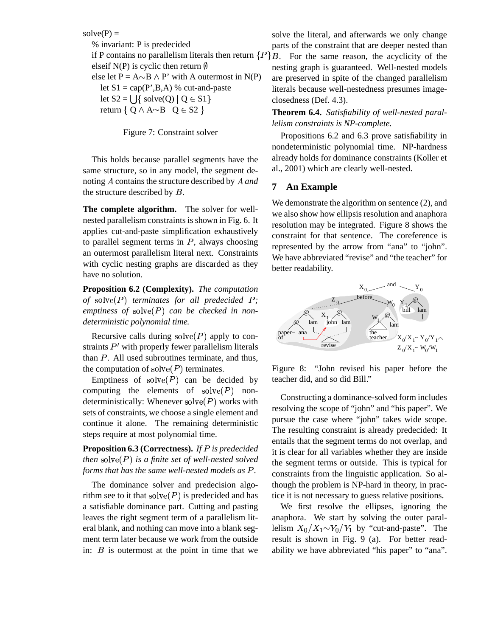#### $solve(P) =$

% invariant: P is predecided if P contains no parallelism literals then return  $\{P\}B$ . For the same reason, the acyclicity of the elseif N(P) is cyclic then return  $\emptyset$ else let  $P = A \sim B \land P'$  with A outermost in N(P) let  $S1 = cap(P', B, A)$  % cut-and-paste let  $S2 = \bigcup \{ \text{ solve}(Q) \mid Q \in S1 \}$ return  $\{$  Q  $\land$  A $\sim$ B  $\mid$  Q  $\in$  S2  $\}$ 

Figure 7: Constraint solver

This holds because parallel segments have the same structure, so in any model, the segment denoting  $\vec{A}$  contains the structure described by  $\vec{A}$  and  $\vec{B}$ the structure described by  $B$ .

**The complete algorithm.** The solver for wellnested parallelism constraints is shown in Fig. 6. It applies cut-and-paste simplification exhaustively to parallel segment terms in  $P$ , always choosing an outermost parallelism literal next. Constraints with cyclic nesting graphs are discarded as they have no solution.

**Proposition 6.2 (Complexity).** *The computation* of solve( $P$ ) *terminates for all predecided*  $P$ ;  $emptions of solve(P) can be checked in non$ *deterministic polynomial time.*

Recursive calls during  $\text{solve}(P)$  apply to constraints  $P'$  with properly fewer parallelism literals than  $P$ . All used subroutines terminate, and thus, the computation of  $\text{solve}(P)$  terminates.

Emptiness of  $\text{solve}(P)$  can be decided by computing the elements of  $\text{solve}(P)$  nondeterministically: Whenever  $\text{solve}(P)$  works with sets of constraints, we choose a single element and continue it alone. The remaining deterministic steps require at most polynomial time.

**Proposition 6.3 (Correctness).** *If is predecided*  $then \; solve(P) \; is \; a \; finite \; set \; of \; well-nested \; solved$ *forms that has the same well-nested models as .*

The dominance solver and predecision algorithm see to it that  $\mathrm{solve}(P)$  is predecided and has a satisfiable dominance part. Cutting and pasting leaves the right segment term of a parallelism literal blank, and nothing can move into a blank segment term later because we work from the outside in:  $B$  is outermost at the point in time that we

solve the literal, and afterwards we only change parts of the constraint that are deeper nested than

nesting graph is guaranteed. Well-nested models are preserved in spite of the changed parallelism literals because well-nestedness presumes imageclosedness (Def. 4.3).

**Theorem 6.4.** *Satisfiability of well-nested parallelism constraints is NP-complete.*

Propositions 6.2 and 6.3 prove satisfiability in nondeterministic polynomial time. NP-hardness already holds for dominance constraints (Koller et al., 2001) which are clearly well-nested.

#### **7 An Example**

We demonstrate the algorithm on sentence  $(2)$ , and we also show how ellipsis resolution and anaphora resolution may be integrated. Figure 8 shows the constraint for that sentence. The coreference is represented by the arrow from "ana" to "john". We have abbreviated "revise" and "the teacher" for better readability.



Figure 8: "John revised his paper before the teacher did, and so did Bill."

Constructing a dominance-solved form includes resolving the scope of "john" and "his paper". We pursue the case where "john" takes wide scope. The resulting constraint is already predecided: It entails that the segment terms do not overlap, and it is clear for all variables whether they are inside the segment terms or outside. This is typical for constraints from the linguistic application. So although the problem is NP-hard in theory, in practice it is not necessary to guess relative positions.

We first resolve the ellipses, ignoring the anaphora. We start by solving the outer parallelism  $X_0/X_1 \sim Y_0/Y_1$  by "cut-and-paste". The result is shown in Fig. 9 (a). For better readability we have abbreviated "his paper" to "ana".